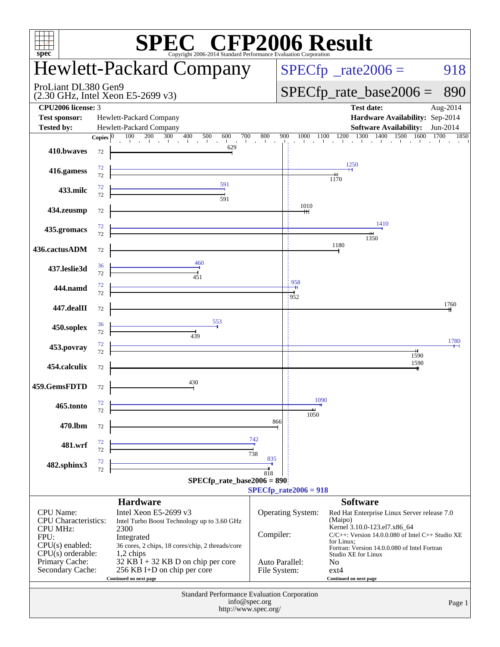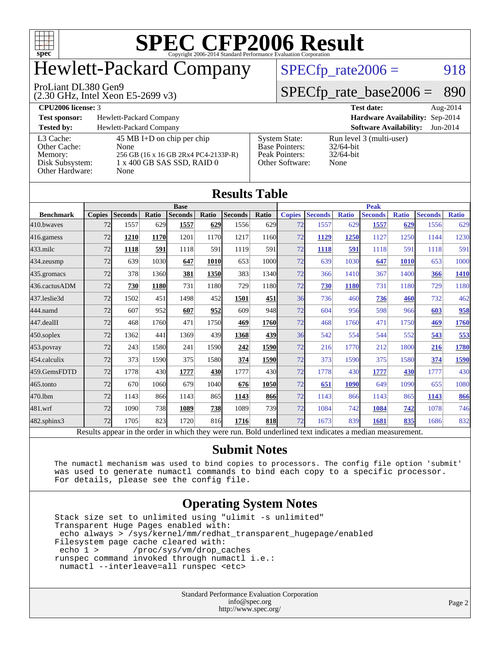

**[Results Table](http://www.spec.org/auto/cpu2006/Docs/result-fields.html#ResultsTable)**

## Hewlett-Packard Company

#### ProLiant DL380 Gen9

(2.30 GHz, Intel Xeon E5-2699 v3)

 $SPECTp_rate2006 = 918$ 

[System State:](http://www.spec.org/auto/cpu2006/Docs/result-fields.html#SystemState) Run level 3 (multi-user)<br>Base Pointers: 32/64-bit

[Base Pointers:](http://www.spec.org/auto/cpu2006/Docs/result-fields.html#BasePointers) 32/64-bit<br>Peak Pointers: 32/64-bit

[Other Software:](http://www.spec.org/auto/cpu2006/Docs/result-fields.html#OtherSoftware) None

[Peak Pointers:](http://www.spec.org/auto/cpu2006/Docs/result-fields.html#PeakPointers)

#### [SPECfp\\_rate\\_base2006 =](http://www.spec.org/auto/cpu2006/Docs/result-fields.html#SPECfpratebase2006) 890

| CDI<br>'200ı<br>-license:<br>. | . <del>.</del><br>$^{\circ}$<br>лаг<br>.<br>. | $\mathcal{L}$<br>A119 |
|--------------------------------|-----------------------------------------------|-----------------------|

| <b>Test sponsor:</b> | Hewlett-Packard Com |  |
|----------------------|---------------------|--|
|                      |                     |  |

**[Test sponsor:](http://www.spec.org/auto/cpu2006/Docs/result-fields.html#Testsponsor)** [Hardware Availability:](http://www.spec.org/auto/cpu2006/Docs/result-fields.html#HardwareAvailability) Sep-2014 **[Software Availability:](http://www.spec.org/auto/cpu2006/Docs/result-fields.html#SoftwareAvailability)** Jun-2014

| Tested by:      | Hewlett-Packard Company              |
|-----------------|--------------------------------------|
| L3 Cache:       | 45 MB I+D on chip per chip           |
| Other Cache:    | None                                 |
| Memory:         | 256 GB (16 x 16 GB 2Rx4 PC4-2133P-R) |
| Disk Subsystem: | 1 x 400 GB SAS SSD, RAID 0           |
| Other Hardware: | None                                 |

| Results Table                                                                                            |               |                |             |                |              |                |              |               |                |              |                |              |                |              |
|----------------------------------------------------------------------------------------------------------|---------------|----------------|-------------|----------------|--------------|----------------|--------------|---------------|----------------|--------------|----------------|--------------|----------------|--------------|
| <b>Base</b>                                                                                              |               |                |             |                |              | <b>Peak</b>    |              |               |                |              |                |              |                |              |
| <b>Benchmark</b>                                                                                         | <b>Copies</b> | <b>Seconds</b> | Ratio       | <b>Seconds</b> | <b>Ratio</b> | <b>Seconds</b> | <b>Ratio</b> | <b>Copies</b> | <b>Seconds</b> | <b>Ratio</b> | <b>Seconds</b> | <b>Ratio</b> | <b>Seconds</b> | <b>Ratio</b> |
| 410.bwayes                                                                                               | 72            | 1557           | 629         | 1557           | 629          | 1556           | 629          | 72            | 1557           | 629          | 1557           | 629          | 1556           | 629          |
| 416.gamess                                                                                               | 72            | 1210           | <b>1170</b> | 1201           | 1170         | 1217           | 1160         | 72            | 1129           | 1250         | 1127           | 1250         | 1144           | 1230         |
| $433$ .milc                                                                                              | 72            | 1118           | 591         | 1118           | 591          | 1119           | 591          | 72            | 1118           | 591          | 1118           | 591          | 1118           | 591          |
| 434.zeusmp                                                                                               | 72            | 639            | 1030        | 647            | 1010         | 653            | 1000         | 72            | 639            | 1030         | 647            | 1010         | 653            | 1000         |
| 435.gromacs                                                                                              | 72            | 378            | 1360        | 381            | 1350         | 383            | 1340         | 72            | 366            | 1410         | 367            | 1400         | 366            | 1410         |
| 436.cactusADM                                                                                            | 72            | 730            | 1180        | 731            | 1180         | 729            | 1180         | 72            | 730            | 1180         | 731            | 1180         | 729            | 1180         |
| 437.leslie3d                                                                                             | 72            | 1502           | 451         | 1498           | 452          | 1501           | 451          | 36            | 736            | 460          | 736            | 460          | 732            | 462          |
| 444.namd                                                                                                 | 72            | 607            | 952         | 607            | 952          | 609            | 948          | 72            | 604            | 956          | 598            | 966          | 603            | 958          |
| 447.dealII                                                                                               | 72            | 468            | 1760        | 471            | 1750         | 469            | 1760         | 72            | 468            | 1760         | 471            | 1750         | 469            | 1760         |
| 450.soplex                                                                                               | 72            | 1362           | 441         | 1369           | 439          | 1368           | 439          | 36            | 542            | 554          | 544            | 552          | 543            | 553          |
| 453.povray                                                                                               | 72            | 243            | 1580        | 241            | 1590         | 242            | 1590         | 72            | 216            | 1770         | 212            | 1800         | 216            | 1780         |
| 454.calculix                                                                                             | 72            | 373            | 1590        | 375            | 1580         | 374            | 1590         | 72            | 373            | 1590         | 375            | 1580         | 374            | 1590         |
| 459.GemsFDTD                                                                                             | 72            | 1778           | 430         | 1777           | 430          | 1777           | 430          | 72            | 1778           | 430          | 1777           | 430          | 1777           | 430          |
| 465.tonto                                                                                                | 72            | 670            | 1060        | 679            | 1040         | 676            | 1050         | 72            | 651            | 1090         | 649            | 1090         | 655            | 1080         |
| 470.1bm                                                                                                  | 72            | 1143           | 866         | 1143           | 865          | 1143           | 866          | 72            | 1143           | 866          | 1143           | 865          | 1143           | 866          |
| 481.wrf                                                                                                  | 72            | 1090           | 738         | 1089           | 738          | 1089           | 739          | 72            | 1084           | 742          | 1084           | 742          | 1078           | 746          |
| 482.sphinx3                                                                                              | 72            | 1705           | 823         | 1720           | 816          | 1716           | 818          | 72            | 1673           | 839          | 1681           | 835          | 1686           | 832          |
| Results appear in the order in which they were run. Bold underlined text indicates a median measurement. |               |                |             |                |              |                |              |               |                |              |                |              |                |              |

#### **[Submit Notes](http://www.spec.org/auto/cpu2006/Docs/result-fields.html#SubmitNotes)**

 The numactl mechanism was used to bind copies to processors. The config file option 'submit' was used to generate numactl commands to bind each copy to a specific processor. For details, please see the config file.

#### **[Operating System Notes](http://www.spec.org/auto/cpu2006/Docs/result-fields.html#OperatingSystemNotes)**

 Stack size set to unlimited using "ulimit -s unlimited" Transparent Huge Pages enabled with: echo always > /sys/kernel/mm/redhat\_transparent\_hugepage/enabled Filesystem page cache cleared with:<br>echo 1 > /proc/sys/vm/drop c /proc/sys/vm/drop\_caches runspec command invoked through numactl i.e.: numactl --interleave=all runspec <etc>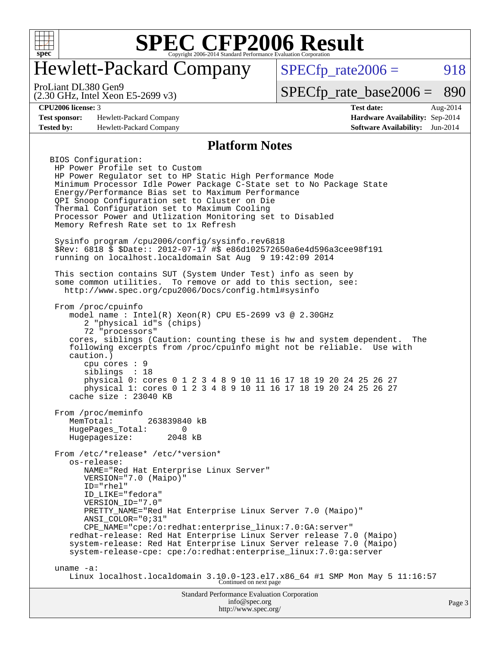

## Hewlett-Packard Company

 $SPECTp_rate2006 = 918$ 

(2.30 GHz, Intel Xeon E5-2699 v3) ProLiant DL380 Gen9

[SPECfp\\_rate\\_base2006 =](http://www.spec.org/auto/cpu2006/Docs/result-fields.html#SPECfpratebase2006) 890

**[Test sponsor:](http://www.spec.org/auto/cpu2006/Docs/result-fields.html#Testsponsor)** Hewlett-Packard Company **[Hardware Availability:](http://www.spec.org/auto/cpu2006/Docs/result-fields.html#HardwareAvailability)** Sep-2014 **[Tested by:](http://www.spec.org/auto/cpu2006/Docs/result-fields.html#Testedby)** Hewlett-Packard Company **[Software Availability:](http://www.spec.org/auto/cpu2006/Docs/result-fields.html#SoftwareAvailability)** Jun-2014

**[CPU2006 license:](http://www.spec.org/auto/cpu2006/Docs/result-fields.html#CPU2006license)** 3 **[Test date:](http://www.spec.org/auto/cpu2006/Docs/result-fields.html#Testdate)** Aug-2014

#### **[Platform Notes](http://www.spec.org/auto/cpu2006/Docs/result-fields.html#PlatformNotes)**

BIOS Configuration: HP Power Profile set to Custom HP Power Regulator set to HP Static High Performance Mode Minimum Processor Idle Power Package C-State set to No Package State Energy/Performance Bias set to Maximum Performance QPI Snoop Configuration set to Cluster on Die Thermal Configuration set to Maximum Cooling Processor Power and Utlization Monitoring set to Disabled Memory Refresh Rate set to 1x Refresh Sysinfo program /cpu2006/config/sysinfo.rev6818 \$Rev: 6818 \$ \$Date:: 2012-07-17 #\$ e86d102572650a6e4d596a3cee98f191 running on localhost.localdomain Sat Aug 9 19:42:09 2014 This section contains SUT (System Under Test) info as seen by some common utilities. To remove or add to this section, see: <http://www.spec.org/cpu2006/Docs/config.html#sysinfo> From /proc/cpuinfo model name : Intel(R) Xeon(R) CPU E5-2699 v3 @ 2.30GHz 2 "physical id"s (chips) 72 "processors" cores, siblings (Caution: counting these is hw and system dependent. The following excerpts from /proc/cpuinfo might not be reliable. Use with caution.) cpu cores : 9 siblings : 18 physical 0: cores 0 1 2 3 4 8 9 10 11 16 17 18 19 20 24 25 26 27 physical 1: cores 0 1 2 3 4 8 9 10 11 16 17 18 19 20 24 25 26 27 cache size : 23040 KB From /proc/meminfo MemTotal: 263839840 kB HugePages\_Total: 0<br>Hugepagesize: 2048 kB Hugepagesize: From /etc/\*release\* /etc/\*version\* os-release: NAME="Red Hat Enterprise Linux Server" VERSION="7.0 (Maipo)" ID="rhel" ID\_LIKE="fedora" VERSION ID="7.0" PRETTY NAME="Red Hat Enterprise Linux Server 7.0 (Maipo)" ANSI\_COLOR="0;31" CPE\_NAME="cpe:/o:redhat:enterprise\_linux:7.0:GA:server" redhat-release: Red Hat Enterprise Linux Server release 7.0 (Maipo) system-release: Red Hat Enterprise Linux Server release 7.0 (Maipo) system-release-cpe: cpe:/o:redhat:enterprise\_linux:7.0:ga:server uname -a: Linux localhost.localdomain 3.10.0-123.el7.x86\_64 #1 SMP Mon May 5 11:16:57<br>Continued on next page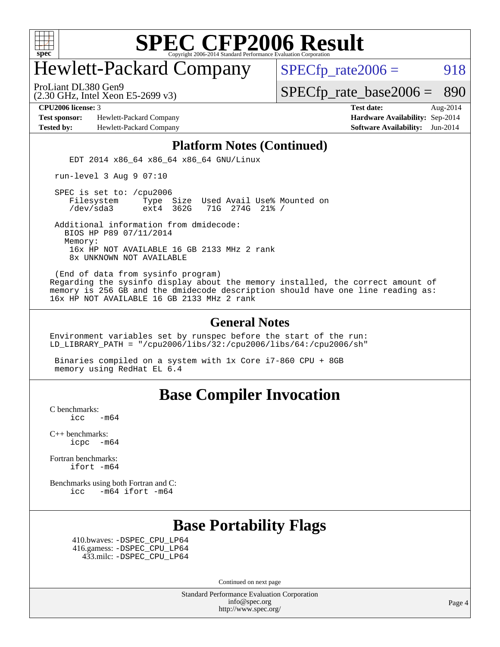

## Hewlett-Packard Company

 $SPECTp_rate2006 = 918$ 

(2.30 GHz, Intel Xeon E5-2699 v3) ProLiant DL380 Gen9

[SPECfp\\_rate\\_base2006 =](http://www.spec.org/auto/cpu2006/Docs/result-fields.html#SPECfpratebase2006) 890

**[Test sponsor:](http://www.spec.org/auto/cpu2006/Docs/result-fields.html#Testsponsor)** Hewlett-Packard Company **[Hardware Availability:](http://www.spec.org/auto/cpu2006/Docs/result-fields.html#HardwareAvailability)** Sep-2014

**[CPU2006 license:](http://www.spec.org/auto/cpu2006/Docs/result-fields.html#CPU2006license)** 3 **[Test date:](http://www.spec.org/auto/cpu2006/Docs/result-fields.html#Testdate)** Aug-2014 **[Tested by:](http://www.spec.org/auto/cpu2006/Docs/result-fields.html#Testedby)** Hewlett-Packard Company **[Software Availability:](http://www.spec.org/auto/cpu2006/Docs/result-fields.html#SoftwareAvailability)** Jun-2014

#### **[Platform Notes \(Continued\)](http://www.spec.org/auto/cpu2006/Docs/result-fields.html#PlatformNotes)**

EDT 2014 x86\_64 x86\_64 x86\_64 GNU/Linux

run-level 3 Aug 9 07:10

SPEC is set to: /cpu2006<br>Filesystem Type Type Size Used Avail Use% Mounted on /dev/sda3 ext4 362G 71G 274G 21% /

 Additional information from dmidecode: BIOS HP P89 07/11/2014 Memory: 16x HP NOT AVAILABLE 16 GB 2133 MHz 2 rank 8x UNKNOWN NOT AVAILABLE

 (End of data from sysinfo program) Regarding the sysinfo display about the memory installed, the correct amount of memory is 256 GB and the dmidecode description should have one line reading as: 16x HP NOT AVAILABLE 16 GB 2133 MHz 2 rank

#### **[General Notes](http://www.spec.org/auto/cpu2006/Docs/result-fields.html#GeneralNotes)**

Environment variables set by runspec before the start of the run: LD\_LIBRARY\_PATH = "/cpu2006/libs/32:/cpu2006/libs/64:/cpu2006/sh"

 Binaries compiled on a system with 1x Core i7-860 CPU + 8GB memory using RedHat EL 6.4

#### **[Base Compiler Invocation](http://www.spec.org/auto/cpu2006/Docs/result-fields.html#BaseCompilerInvocation)**

[C benchmarks](http://www.spec.org/auto/cpu2006/Docs/result-fields.html#Cbenchmarks):  $\text{icc}$  -m64

[C++ benchmarks:](http://www.spec.org/auto/cpu2006/Docs/result-fields.html#CXXbenchmarks)  $i<sub>core</sub>$   $-m64$ 

[Fortran benchmarks](http://www.spec.org/auto/cpu2006/Docs/result-fields.html#Fortranbenchmarks): [ifort -m64](http://www.spec.org/cpu2006/results/res2014q3/cpu2006-20140908-31245.flags.html#user_FCbase_intel_ifort_64bit_ee9d0fb25645d0210d97eb0527dcc06e)

[Benchmarks using both Fortran and C](http://www.spec.org/auto/cpu2006/Docs/result-fields.html#BenchmarksusingbothFortranandC): [icc -m64](http://www.spec.org/cpu2006/results/res2014q3/cpu2006-20140908-31245.flags.html#user_CC_FCbase_intel_icc_64bit_0b7121f5ab7cfabee23d88897260401c) [ifort -m64](http://www.spec.org/cpu2006/results/res2014q3/cpu2006-20140908-31245.flags.html#user_CC_FCbase_intel_ifort_64bit_ee9d0fb25645d0210d97eb0527dcc06e)

#### **[Base Portability Flags](http://www.spec.org/auto/cpu2006/Docs/result-fields.html#BasePortabilityFlags)**

 410.bwaves: [-DSPEC\\_CPU\\_LP64](http://www.spec.org/cpu2006/results/res2014q3/cpu2006-20140908-31245.flags.html#suite_basePORTABILITY410_bwaves_DSPEC_CPU_LP64) 416.gamess: [-DSPEC\\_CPU\\_LP64](http://www.spec.org/cpu2006/results/res2014q3/cpu2006-20140908-31245.flags.html#suite_basePORTABILITY416_gamess_DSPEC_CPU_LP64) 433.milc: [-DSPEC\\_CPU\\_LP64](http://www.spec.org/cpu2006/results/res2014q3/cpu2006-20140908-31245.flags.html#suite_basePORTABILITY433_milc_DSPEC_CPU_LP64)

Continued on next page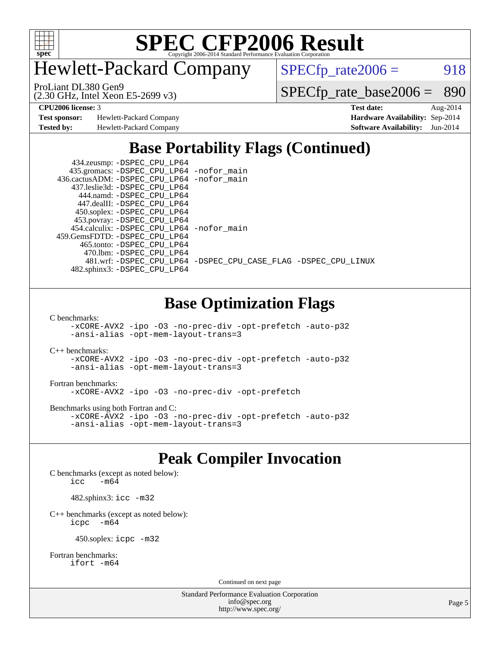

Hewlett-Packard Company

 $SPECTp_rate2006 = 918$ 

(2.30 GHz, Intel Xeon E5-2699 v3) ProLiant DL380 Gen9

[SPECfp\\_rate\\_base2006 =](http://www.spec.org/auto/cpu2006/Docs/result-fields.html#SPECfpratebase2006) 890

**[Test sponsor:](http://www.spec.org/auto/cpu2006/Docs/result-fields.html#Testsponsor)** Hewlett-Packard Company **[Hardware Availability:](http://www.spec.org/auto/cpu2006/Docs/result-fields.html#HardwareAvailability)** Sep-2014

**[CPU2006 license:](http://www.spec.org/auto/cpu2006/Docs/result-fields.html#CPU2006license)** 3 **[Test date:](http://www.spec.org/auto/cpu2006/Docs/result-fields.html#Testdate)** Aug-2014 **[Tested by:](http://www.spec.org/auto/cpu2006/Docs/result-fields.html#Testedby)** Hewlett-Packard Company **[Software Availability:](http://www.spec.org/auto/cpu2006/Docs/result-fields.html#SoftwareAvailability)** Jun-2014

### **[Base Portability Flags \(Continued\)](http://www.spec.org/auto/cpu2006/Docs/result-fields.html#BasePortabilityFlags)**

 434.zeusmp: [-DSPEC\\_CPU\\_LP64](http://www.spec.org/cpu2006/results/res2014q3/cpu2006-20140908-31245.flags.html#suite_basePORTABILITY434_zeusmp_DSPEC_CPU_LP64) 435.gromacs: [-DSPEC\\_CPU\\_LP64](http://www.spec.org/cpu2006/results/res2014q3/cpu2006-20140908-31245.flags.html#suite_basePORTABILITY435_gromacs_DSPEC_CPU_LP64) [-nofor\\_main](http://www.spec.org/cpu2006/results/res2014q3/cpu2006-20140908-31245.flags.html#user_baseLDPORTABILITY435_gromacs_f-nofor_main) 436.cactusADM: [-DSPEC\\_CPU\\_LP64](http://www.spec.org/cpu2006/results/res2014q3/cpu2006-20140908-31245.flags.html#suite_basePORTABILITY436_cactusADM_DSPEC_CPU_LP64) [-nofor\\_main](http://www.spec.org/cpu2006/results/res2014q3/cpu2006-20140908-31245.flags.html#user_baseLDPORTABILITY436_cactusADM_f-nofor_main) 437.leslie3d: [-DSPEC\\_CPU\\_LP64](http://www.spec.org/cpu2006/results/res2014q3/cpu2006-20140908-31245.flags.html#suite_basePORTABILITY437_leslie3d_DSPEC_CPU_LP64) 444.namd: [-DSPEC\\_CPU\\_LP64](http://www.spec.org/cpu2006/results/res2014q3/cpu2006-20140908-31245.flags.html#suite_basePORTABILITY444_namd_DSPEC_CPU_LP64) 447.dealII: [-DSPEC\\_CPU\\_LP64](http://www.spec.org/cpu2006/results/res2014q3/cpu2006-20140908-31245.flags.html#suite_basePORTABILITY447_dealII_DSPEC_CPU_LP64) 450.soplex: [-DSPEC\\_CPU\\_LP64](http://www.spec.org/cpu2006/results/res2014q3/cpu2006-20140908-31245.flags.html#suite_basePORTABILITY450_soplex_DSPEC_CPU_LP64) 453.povray: [-DSPEC\\_CPU\\_LP64](http://www.spec.org/cpu2006/results/res2014q3/cpu2006-20140908-31245.flags.html#suite_basePORTABILITY453_povray_DSPEC_CPU_LP64) 454.calculix: [-DSPEC\\_CPU\\_LP64](http://www.spec.org/cpu2006/results/res2014q3/cpu2006-20140908-31245.flags.html#suite_basePORTABILITY454_calculix_DSPEC_CPU_LP64) [-nofor\\_main](http://www.spec.org/cpu2006/results/res2014q3/cpu2006-20140908-31245.flags.html#user_baseLDPORTABILITY454_calculix_f-nofor_main) 459.GemsFDTD: [-DSPEC\\_CPU\\_LP64](http://www.spec.org/cpu2006/results/res2014q3/cpu2006-20140908-31245.flags.html#suite_basePORTABILITY459_GemsFDTD_DSPEC_CPU_LP64) 465.tonto: [-DSPEC\\_CPU\\_LP64](http://www.spec.org/cpu2006/results/res2014q3/cpu2006-20140908-31245.flags.html#suite_basePORTABILITY465_tonto_DSPEC_CPU_LP64) 470.lbm: [-DSPEC\\_CPU\\_LP64](http://www.spec.org/cpu2006/results/res2014q3/cpu2006-20140908-31245.flags.html#suite_basePORTABILITY470_lbm_DSPEC_CPU_LP64) 481.wrf: [-DSPEC\\_CPU\\_LP64](http://www.spec.org/cpu2006/results/res2014q3/cpu2006-20140908-31245.flags.html#suite_basePORTABILITY481_wrf_DSPEC_CPU_LP64) [-DSPEC\\_CPU\\_CASE\\_FLAG](http://www.spec.org/cpu2006/results/res2014q3/cpu2006-20140908-31245.flags.html#b481.wrf_baseCPORTABILITY_DSPEC_CPU_CASE_FLAG) [-DSPEC\\_CPU\\_LINUX](http://www.spec.org/cpu2006/results/res2014q3/cpu2006-20140908-31245.flags.html#b481.wrf_baseCPORTABILITY_DSPEC_CPU_LINUX) 482.sphinx3: [-DSPEC\\_CPU\\_LP64](http://www.spec.org/cpu2006/results/res2014q3/cpu2006-20140908-31245.flags.html#suite_basePORTABILITY482_sphinx3_DSPEC_CPU_LP64)

#### **[Base Optimization Flags](http://www.spec.org/auto/cpu2006/Docs/result-fields.html#BaseOptimizationFlags)**

[C benchmarks](http://www.spec.org/auto/cpu2006/Docs/result-fields.html#Cbenchmarks):

[-xCORE-AVX2](http://www.spec.org/cpu2006/results/res2014q3/cpu2006-20140908-31245.flags.html#user_CCbase_f-xAVX2_5f5fc0cbe2c9f62c816d3e45806c70d7) [-ipo](http://www.spec.org/cpu2006/results/res2014q3/cpu2006-20140908-31245.flags.html#user_CCbase_f-ipo) [-O3](http://www.spec.org/cpu2006/results/res2014q3/cpu2006-20140908-31245.flags.html#user_CCbase_f-O3) [-no-prec-div](http://www.spec.org/cpu2006/results/res2014q3/cpu2006-20140908-31245.flags.html#user_CCbase_f-no-prec-div) [-opt-prefetch](http://www.spec.org/cpu2006/results/res2014q3/cpu2006-20140908-31245.flags.html#user_CCbase_f-opt-prefetch) [-auto-p32](http://www.spec.org/cpu2006/results/res2014q3/cpu2006-20140908-31245.flags.html#user_CCbase_f-auto-p32) [-ansi-alias](http://www.spec.org/cpu2006/results/res2014q3/cpu2006-20140908-31245.flags.html#user_CCbase_f-ansi-alias) [-opt-mem-layout-trans=3](http://www.spec.org/cpu2006/results/res2014q3/cpu2006-20140908-31245.flags.html#user_CCbase_f-opt-mem-layout-trans_a7b82ad4bd7abf52556d4961a2ae94d5)

[C++ benchmarks:](http://www.spec.org/auto/cpu2006/Docs/result-fields.html#CXXbenchmarks) [-xCORE-AVX2](http://www.spec.org/cpu2006/results/res2014q3/cpu2006-20140908-31245.flags.html#user_CXXbase_f-xAVX2_5f5fc0cbe2c9f62c816d3e45806c70d7) [-ipo](http://www.spec.org/cpu2006/results/res2014q3/cpu2006-20140908-31245.flags.html#user_CXXbase_f-ipo) [-O3](http://www.spec.org/cpu2006/results/res2014q3/cpu2006-20140908-31245.flags.html#user_CXXbase_f-O3) [-no-prec-div](http://www.spec.org/cpu2006/results/res2014q3/cpu2006-20140908-31245.flags.html#user_CXXbase_f-no-prec-div) [-opt-prefetch](http://www.spec.org/cpu2006/results/res2014q3/cpu2006-20140908-31245.flags.html#user_CXXbase_f-opt-prefetch) [-auto-p32](http://www.spec.org/cpu2006/results/res2014q3/cpu2006-20140908-31245.flags.html#user_CXXbase_f-auto-p32) [-ansi-alias](http://www.spec.org/cpu2006/results/res2014q3/cpu2006-20140908-31245.flags.html#user_CXXbase_f-ansi-alias) [-opt-mem-layout-trans=3](http://www.spec.org/cpu2006/results/res2014q3/cpu2006-20140908-31245.flags.html#user_CXXbase_f-opt-mem-layout-trans_a7b82ad4bd7abf52556d4961a2ae94d5)

#### [Fortran benchmarks](http://www.spec.org/auto/cpu2006/Docs/result-fields.html#Fortranbenchmarks):

[-xCORE-AVX2](http://www.spec.org/cpu2006/results/res2014q3/cpu2006-20140908-31245.flags.html#user_FCbase_f-xAVX2_5f5fc0cbe2c9f62c816d3e45806c70d7) [-ipo](http://www.spec.org/cpu2006/results/res2014q3/cpu2006-20140908-31245.flags.html#user_FCbase_f-ipo) [-O3](http://www.spec.org/cpu2006/results/res2014q3/cpu2006-20140908-31245.flags.html#user_FCbase_f-O3) [-no-prec-div](http://www.spec.org/cpu2006/results/res2014q3/cpu2006-20140908-31245.flags.html#user_FCbase_f-no-prec-div) [-opt-prefetch](http://www.spec.org/cpu2006/results/res2014q3/cpu2006-20140908-31245.flags.html#user_FCbase_f-opt-prefetch)

[Benchmarks using both Fortran and C](http://www.spec.org/auto/cpu2006/Docs/result-fields.html#BenchmarksusingbothFortranandC):

[-xCORE-AVX2](http://www.spec.org/cpu2006/results/res2014q3/cpu2006-20140908-31245.flags.html#user_CC_FCbase_f-xAVX2_5f5fc0cbe2c9f62c816d3e45806c70d7) [-ipo](http://www.spec.org/cpu2006/results/res2014q3/cpu2006-20140908-31245.flags.html#user_CC_FCbase_f-ipo) [-O3](http://www.spec.org/cpu2006/results/res2014q3/cpu2006-20140908-31245.flags.html#user_CC_FCbase_f-O3) [-no-prec-div](http://www.spec.org/cpu2006/results/res2014q3/cpu2006-20140908-31245.flags.html#user_CC_FCbase_f-no-prec-div) [-opt-prefetch](http://www.spec.org/cpu2006/results/res2014q3/cpu2006-20140908-31245.flags.html#user_CC_FCbase_f-opt-prefetch) [-auto-p32](http://www.spec.org/cpu2006/results/res2014q3/cpu2006-20140908-31245.flags.html#user_CC_FCbase_f-auto-p32) [-ansi-alias](http://www.spec.org/cpu2006/results/res2014q3/cpu2006-20140908-31245.flags.html#user_CC_FCbase_f-ansi-alias) [-opt-mem-layout-trans=3](http://www.spec.org/cpu2006/results/res2014q3/cpu2006-20140908-31245.flags.html#user_CC_FCbase_f-opt-mem-layout-trans_a7b82ad4bd7abf52556d4961a2ae94d5)

#### **[Peak Compiler Invocation](http://www.spec.org/auto/cpu2006/Docs/result-fields.html#PeakCompilerInvocation)**

[C benchmarks \(except as noted below\)](http://www.spec.org/auto/cpu2006/Docs/result-fields.html#Cbenchmarksexceptasnotedbelow):  $\text{icc}$   $-\text{m64}$ 

482.sphinx3: [icc -m32](http://www.spec.org/cpu2006/results/res2014q3/cpu2006-20140908-31245.flags.html#user_peakCCLD482_sphinx3_intel_icc_a6a621f8d50482236b970c6ac5f55f93)

[C++ benchmarks \(except as noted below\):](http://www.spec.org/auto/cpu2006/Docs/result-fields.html#CXXbenchmarksexceptasnotedbelow) [icpc -m64](http://www.spec.org/cpu2006/results/res2014q3/cpu2006-20140908-31245.flags.html#user_CXXpeak_intel_icpc_64bit_bedb90c1146cab66620883ef4f41a67e)

450.soplex: [icpc -m32](http://www.spec.org/cpu2006/results/res2014q3/cpu2006-20140908-31245.flags.html#user_peakCXXLD450_soplex_intel_icpc_4e5a5ef1a53fd332b3c49e69c3330699)

[Fortran benchmarks](http://www.spec.org/auto/cpu2006/Docs/result-fields.html#Fortranbenchmarks): [ifort -m64](http://www.spec.org/cpu2006/results/res2014q3/cpu2006-20140908-31245.flags.html#user_FCpeak_intel_ifort_64bit_ee9d0fb25645d0210d97eb0527dcc06e)

Continued on next page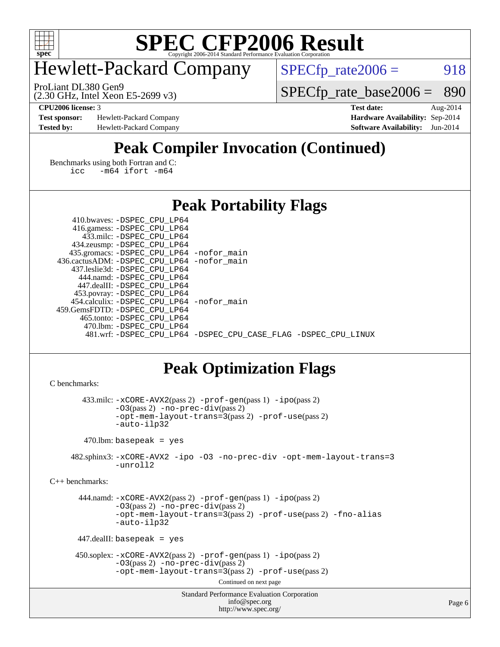

## Hewlett-Packard Company

 $SPECTp_rate2006 = 918$ 

(2.30 GHz, Intel Xeon E5-2699 v3) ProLiant DL380 Gen9

[SPECfp\\_rate\\_base2006 =](http://www.spec.org/auto/cpu2006/Docs/result-fields.html#SPECfpratebase2006) 890

**[Test sponsor:](http://www.spec.org/auto/cpu2006/Docs/result-fields.html#Testsponsor)** Hewlett-Packard Company **[Hardware Availability:](http://www.spec.org/auto/cpu2006/Docs/result-fields.html#HardwareAvailability)** Sep-2014 **[Tested by:](http://www.spec.org/auto/cpu2006/Docs/result-fields.html#Testedby)** Hewlett-Packard Company **[Software Availability:](http://www.spec.org/auto/cpu2006/Docs/result-fields.html#SoftwareAvailability)** Jun-2014

**[CPU2006 license:](http://www.spec.org/auto/cpu2006/Docs/result-fields.html#CPU2006license)** 3 **[Test date:](http://www.spec.org/auto/cpu2006/Docs/result-fields.html#Testdate)** Aug-2014

### **[Peak Compiler Invocation \(Continued\)](http://www.spec.org/auto/cpu2006/Docs/result-fields.html#PeakCompilerInvocation)**

[Benchmarks using both Fortran and C](http://www.spec.org/auto/cpu2006/Docs/result-fields.html#BenchmarksusingbothFortranandC): [icc -m64](http://www.spec.org/cpu2006/results/res2014q3/cpu2006-20140908-31245.flags.html#user_CC_FCpeak_intel_icc_64bit_0b7121f5ab7cfabee23d88897260401c) [ifort -m64](http://www.spec.org/cpu2006/results/res2014q3/cpu2006-20140908-31245.flags.html#user_CC_FCpeak_intel_ifort_64bit_ee9d0fb25645d0210d97eb0527dcc06e)

#### **[Peak Portability Flags](http://www.spec.org/auto/cpu2006/Docs/result-fields.html#PeakPortabilityFlags)**

| 410.bwaves: -DSPEC CPU LP64                |                                                                |
|--------------------------------------------|----------------------------------------------------------------|
| 416.gamess: -DSPEC_CPU_LP64                |                                                                |
| 433.milc: -DSPEC CPU LP64                  |                                                                |
| 434.zeusmp: -DSPEC_CPU_LP64                |                                                                |
| 435.gromacs: -DSPEC_CPU_LP64 -nofor_main   |                                                                |
| 436.cactusADM: -DSPEC CPU LP64 -nofor main |                                                                |
| 437.leslie3d: -DSPEC CPU LP64              |                                                                |
| 444.namd: -DSPEC CPU LP64                  |                                                                |
| 447.dealII: -DSPEC CPU LP64                |                                                                |
| 453.povray: -DSPEC_CPU_LP64                |                                                                |
| 454.calculix: -DSPEC CPU LP64 -nofor main  |                                                                |
| 459.GemsFDTD: -DSPEC CPU LP64              |                                                                |
| 465.tonto: -DSPEC CPU LP64                 |                                                                |
| 470.1bm: - DSPEC CPU LP64                  |                                                                |
|                                            | 481.wrf: -DSPEC_CPU_LP64 -DSPEC_CPU_CASE_FLAG -DSPEC_CPU_LINUX |

### **[Peak Optimization Flags](http://www.spec.org/auto/cpu2006/Docs/result-fields.html#PeakOptimizationFlags)**

```
C benchmarks:
```
 433.milc: [-xCORE-AVX2](http://www.spec.org/cpu2006/results/res2014q3/cpu2006-20140908-31245.flags.html#user_peakPASS2_CFLAGSPASS2_LDFLAGS433_milc_f-xAVX2_5f5fc0cbe2c9f62c816d3e45806c70d7)(pass 2) [-prof-gen](http://www.spec.org/cpu2006/results/res2014q3/cpu2006-20140908-31245.flags.html#user_peakPASS1_CFLAGSPASS1_LDFLAGS433_milc_prof_gen_e43856698f6ca7b7e442dfd80e94a8fc)(pass 1) [-ipo](http://www.spec.org/cpu2006/results/res2014q3/cpu2006-20140908-31245.flags.html#user_peakPASS2_CFLAGSPASS2_LDFLAGS433_milc_f-ipo)(pass 2) [-O3](http://www.spec.org/cpu2006/results/res2014q3/cpu2006-20140908-31245.flags.html#user_peakPASS2_CFLAGSPASS2_LDFLAGS433_milc_f-O3)(pass 2) [-no-prec-div](http://www.spec.org/cpu2006/results/res2014q3/cpu2006-20140908-31245.flags.html#user_peakPASS2_CFLAGSPASS2_LDFLAGS433_milc_f-no-prec-div)(pass 2) [-opt-mem-layout-trans=3](http://www.spec.org/cpu2006/results/res2014q3/cpu2006-20140908-31245.flags.html#user_peakPASS2_CFLAGS433_milc_f-opt-mem-layout-trans_a7b82ad4bd7abf52556d4961a2ae94d5)(pass 2) [-prof-use](http://www.spec.org/cpu2006/results/res2014q3/cpu2006-20140908-31245.flags.html#user_peakPASS2_CFLAGSPASS2_LDFLAGS433_milc_prof_use_bccf7792157ff70d64e32fe3e1250b55)(pass 2) [-auto-ilp32](http://www.spec.org/cpu2006/results/res2014q3/cpu2006-20140908-31245.flags.html#user_peakCOPTIMIZE433_milc_f-auto-ilp32) 470.lbm: basepeak = yes 482.sphinx3: [-xCORE-AVX2](http://www.spec.org/cpu2006/results/res2014q3/cpu2006-20140908-31245.flags.html#user_peakOPTIMIZE482_sphinx3_f-xAVX2_5f5fc0cbe2c9f62c816d3e45806c70d7) [-ipo](http://www.spec.org/cpu2006/results/res2014q3/cpu2006-20140908-31245.flags.html#user_peakOPTIMIZE482_sphinx3_f-ipo) [-O3](http://www.spec.org/cpu2006/results/res2014q3/cpu2006-20140908-31245.flags.html#user_peakOPTIMIZE482_sphinx3_f-O3) [-no-prec-div](http://www.spec.org/cpu2006/results/res2014q3/cpu2006-20140908-31245.flags.html#user_peakOPTIMIZE482_sphinx3_f-no-prec-div) [-opt-mem-layout-trans=3](http://www.spec.org/cpu2006/results/res2014q3/cpu2006-20140908-31245.flags.html#user_peakOPTIMIZE482_sphinx3_f-opt-mem-layout-trans_a7b82ad4bd7abf52556d4961a2ae94d5) [-unroll2](http://www.spec.org/cpu2006/results/res2014q3/cpu2006-20140908-31245.flags.html#user_peakCOPTIMIZE482_sphinx3_f-unroll_784dae83bebfb236979b41d2422d7ec2)

[C++ benchmarks:](http://www.spec.org/auto/cpu2006/Docs/result-fields.html#CXXbenchmarks)

 444.namd: [-xCORE-AVX2](http://www.spec.org/cpu2006/results/res2014q3/cpu2006-20140908-31245.flags.html#user_peakPASS2_CXXFLAGSPASS2_LDFLAGS444_namd_f-xAVX2_5f5fc0cbe2c9f62c816d3e45806c70d7)(pass 2) [-prof-gen](http://www.spec.org/cpu2006/results/res2014q3/cpu2006-20140908-31245.flags.html#user_peakPASS1_CXXFLAGSPASS1_LDFLAGS444_namd_prof_gen_e43856698f6ca7b7e442dfd80e94a8fc)(pass 1) [-ipo](http://www.spec.org/cpu2006/results/res2014q3/cpu2006-20140908-31245.flags.html#user_peakPASS2_CXXFLAGSPASS2_LDFLAGS444_namd_f-ipo)(pass 2) [-O3](http://www.spec.org/cpu2006/results/res2014q3/cpu2006-20140908-31245.flags.html#user_peakPASS2_CXXFLAGSPASS2_LDFLAGS444_namd_f-O3)(pass 2) [-no-prec-div](http://www.spec.org/cpu2006/results/res2014q3/cpu2006-20140908-31245.flags.html#user_peakPASS2_CXXFLAGSPASS2_LDFLAGS444_namd_f-no-prec-div)(pass 2) [-opt-mem-layout-trans=3](http://www.spec.org/cpu2006/results/res2014q3/cpu2006-20140908-31245.flags.html#user_peakPASS2_CXXFLAGS444_namd_f-opt-mem-layout-trans_a7b82ad4bd7abf52556d4961a2ae94d5)(pass 2) [-prof-use](http://www.spec.org/cpu2006/results/res2014q3/cpu2006-20140908-31245.flags.html#user_peakPASS2_CXXFLAGSPASS2_LDFLAGS444_namd_prof_use_bccf7792157ff70d64e32fe3e1250b55)(pass 2) [-fno-alias](http://www.spec.org/cpu2006/results/res2014q3/cpu2006-20140908-31245.flags.html#user_peakCXXOPTIMIZE444_namd_f-no-alias_694e77f6c5a51e658e82ccff53a9e63a) [-auto-ilp32](http://www.spec.org/cpu2006/results/res2014q3/cpu2006-20140908-31245.flags.html#user_peakCXXOPTIMIZE444_namd_f-auto-ilp32)

447.dealII: basepeak = yes

```
 450.soplex: -xCORE-AVX2(pass 2) -prof-gen(pass 1) -ipo(pass 2)
-O3(pass 2) -no-prec-div(pass 2)
-opt-mem-layout-trans=3(pass 2) -prof-use(pass 2)
```
Continued on next page

```
Standard Performance Evaluation Corporation
    info@spec.org
 http://www.spec.org/
```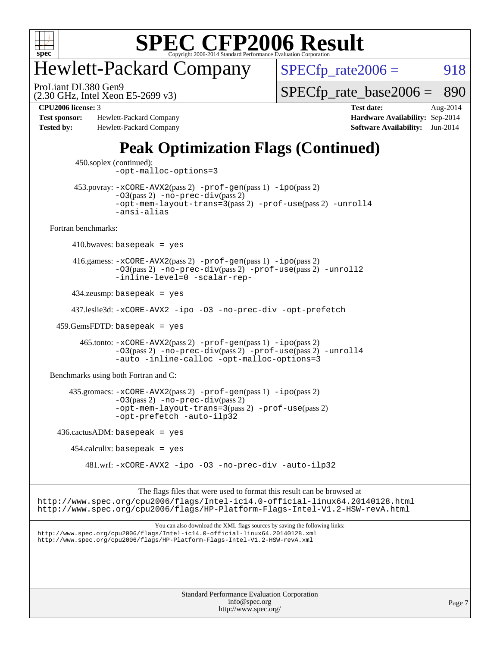

## Hewlett-Packard Company

(2.30 GHz, Intel Xeon E5-2699 v3) ProLiant DL380 Gen9

 $SPECTp_rate2006 = 918$ 

 $SPECTp\_rate\_base2006 = 890$ 

**[Test sponsor:](http://www.spec.org/auto/cpu2006/Docs/result-fields.html#Testsponsor)** Hewlett-Packard Company **[Hardware Availability:](http://www.spec.org/auto/cpu2006/Docs/result-fields.html#HardwareAvailability)** Sep-2014 **[Tested by:](http://www.spec.org/auto/cpu2006/Docs/result-fields.html#Testedby)** Hewlett-Packard Company **[Software Availability:](http://www.spec.org/auto/cpu2006/Docs/result-fields.html#SoftwareAvailability)** Jun-2014

**[CPU2006 license:](http://www.spec.org/auto/cpu2006/Docs/result-fields.html#CPU2006license)** 3 **[Test date:](http://www.spec.org/auto/cpu2006/Docs/result-fields.html#Testdate)** Aug-2014

## **[Peak Optimization Flags \(Continued\)](http://www.spec.org/auto/cpu2006/Docs/result-fields.html#PeakOptimizationFlags)**

Standard Performance Evaluation Corporation [info@spec.org](mailto:info@spec.org) 450.soplex (continued): [-opt-malloc-options=3](http://www.spec.org/cpu2006/results/res2014q3/cpu2006-20140908-31245.flags.html#user_peakOPTIMIZE450_soplex_f-opt-malloc-options_13ab9b803cf986b4ee62f0a5998c2238) 453.povray: [-xCORE-AVX2](http://www.spec.org/cpu2006/results/res2014q3/cpu2006-20140908-31245.flags.html#user_peakPASS2_CXXFLAGSPASS2_LDFLAGS453_povray_f-xAVX2_5f5fc0cbe2c9f62c816d3e45806c70d7)(pass 2) [-prof-gen](http://www.spec.org/cpu2006/results/res2014q3/cpu2006-20140908-31245.flags.html#user_peakPASS1_CXXFLAGSPASS1_LDFLAGS453_povray_prof_gen_e43856698f6ca7b7e442dfd80e94a8fc)(pass 1) [-ipo](http://www.spec.org/cpu2006/results/res2014q3/cpu2006-20140908-31245.flags.html#user_peakPASS2_CXXFLAGSPASS2_LDFLAGS453_povray_f-ipo)(pass 2) [-O3](http://www.spec.org/cpu2006/results/res2014q3/cpu2006-20140908-31245.flags.html#user_peakPASS2_CXXFLAGSPASS2_LDFLAGS453_povray_f-O3)(pass 2) [-no-prec-div](http://www.spec.org/cpu2006/results/res2014q3/cpu2006-20140908-31245.flags.html#user_peakPASS2_CXXFLAGSPASS2_LDFLAGS453_povray_f-no-prec-div)(pass 2) [-opt-mem-layout-trans=3](http://www.spec.org/cpu2006/results/res2014q3/cpu2006-20140908-31245.flags.html#user_peakPASS2_CXXFLAGS453_povray_f-opt-mem-layout-trans_a7b82ad4bd7abf52556d4961a2ae94d5)(pass 2) [-prof-use](http://www.spec.org/cpu2006/results/res2014q3/cpu2006-20140908-31245.flags.html#user_peakPASS2_CXXFLAGSPASS2_LDFLAGS453_povray_prof_use_bccf7792157ff70d64e32fe3e1250b55)(pass 2) [-unroll4](http://www.spec.org/cpu2006/results/res2014q3/cpu2006-20140908-31245.flags.html#user_peakCXXOPTIMIZE453_povray_f-unroll_4e5e4ed65b7fd20bdcd365bec371b81f) [-ansi-alias](http://www.spec.org/cpu2006/results/res2014q3/cpu2006-20140908-31245.flags.html#user_peakCXXOPTIMIZE453_povray_f-ansi-alias) [Fortran benchmarks](http://www.spec.org/auto/cpu2006/Docs/result-fields.html#Fortranbenchmarks):  $410.bwaves: basepeak = yes$  416.gamess: [-xCORE-AVX2](http://www.spec.org/cpu2006/results/res2014q3/cpu2006-20140908-31245.flags.html#user_peakPASS2_FFLAGSPASS2_LDFLAGS416_gamess_f-xAVX2_5f5fc0cbe2c9f62c816d3e45806c70d7)(pass 2) [-prof-gen](http://www.spec.org/cpu2006/results/res2014q3/cpu2006-20140908-31245.flags.html#user_peakPASS1_FFLAGSPASS1_LDFLAGS416_gamess_prof_gen_e43856698f6ca7b7e442dfd80e94a8fc)(pass 1) [-ipo](http://www.spec.org/cpu2006/results/res2014q3/cpu2006-20140908-31245.flags.html#user_peakPASS2_FFLAGSPASS2_LDFLAGS416_gamess_f-ipo)(pass 2) [-O3](http://www.spec.org/cpu2006/results/res2014q3/cpu2006-20140908-31245.flags.html#user_peakPASS2_FFLAGSPASS2_LDFLAGS416_gamess_f-O3)(pass 2) [-no-prec-div](http://www.spec.org/cpu2006/results/res2014q3/cpu2006-20140908-31245.flags.html#user_peakPASS2_FFLAGSPASS2_LDFLAGS416_gamess_f-no-prec-div)(pass 2) [-prof-use](http://www.spec.org/cpu2006/results/res2014q3/cpu2006-20140908-31245.flags.html#user_peakPASS2_FFLAGSPASS2_LDFLAGS416_gamess_prof_use_bccf7792157ff70d64e32fe3e1250b55)(pass 2) [-unroll2](http://www.spec.org/cpu2006/results/res2014q3/cpu2006-20140908-31245.flags.html#user_peakOPTIMIZE416_gamess_f-unroll_784dae83bebfb236979b41d2422d7ec2) [-inline-level=0](http://www.spec.org/cpu2006/results/res2014q3/cpu2006-20140908-31245.flags.html#user_peakOPTIMIZE416_gamess_f-inline-level_318d07a09274ad25e8d15dbfaa68ba50) [-scalar-rep-](http://www.spec.org/cpu2006/results/res2014q3/cpu2006-20140908-31245.flags.html#user_peakOPTIMIZE416_gamess_f-disablescalarrep_abbcad04450fb118e4809c81d83c8a1d) 434.zeusmp: basepeak = yes 437.leslie3d: [-xCORE-AVX2](http://www.spec.org/cpu2006/results/res2014q3/cpu2006-20140908-31245.flags.html#user_peakOPTIMIZE437_leslie3d_f-xAVX2_5f5fc0cbe2c9f62c816d3e45806c70d7) [-ipo](http://www.spec.org/cpu2006/results/res2014q3/cpu2006-20140908-31245.flags.html#user_peakOPTIMIZE437_leslie3d_f-ipo) [-O3](http://www.spec.org/cpu2006/results/res2014q3/cpu2006-20140908-31245.flags.html#user_peakOPTIMIZE437_leslie3d_f-O3) [-no-prec-div](http://www.spec.org/cpu2006/results/res2014q3/cpu2006-20140908-31245.flags.html#user_peakOPTIMIZE437_leslie3d_f-no-prec-div) [-opt-prefetch](http://www.spec.org/cpu2006/results/res2014q3/cpu2006-20140908-31245.flags.html#user_peakOPTIMIZE437_leslie3d_f-opt-prefetch) 459.GemsFDTD: basepeak = yes 465.tonto: [-xCORE-AVX2](http://www.spec.org/cpu2006/results/res2014q3/cpu2006-20140908-31245.flags.html#user_peakPASS2_FFLAGSPASS2_LDFLAGS465_tonto_f-xAVX2_5f5fc0cbe2c9f62c816d3e45806c70d7)(pass 2) [-prof-gen](http://www.spec.org/cpu2006/results/res2014q3/cpu2006-20140908-31245.flags.html#user_peakPASS1_FFLAGSPASS1_LDFLAGS465_tonto_prof_gen_e43856698f6ca7b7e442dfd80e94a8fc)(pass 1) [-ipo](http://www.spec.org/cpu2006/results/res2014q3/cpu2006-20140908-31245.flags.html#user_peakPASS2_FFLAGSPASS2_LDFLAGS465_tonto_f-ipo)(pass 2) [-O3](http://www.spec.org/cpu2006/results/res2014q3/cpu2006-20140908-31245.flags.html#user_peakPASS2_FFLAGSPASS2_LDFLAGS465_tonto_f-O3)(pass 2) [-no-prec-div](http://www.spec.org/cpu2006/results/res2014q3/cpu2006-20140908-31245.flags.html#user_peakPASS2_FFLAGSPASS2_LDFLAGS465_tonto_f-no-prec-div)(pass 2) [-prof-use](http://www.spec.org/cpu2006/results/res2014q3/cpu2006-20140908-31245.flags.html#user_peakPASS2_FFLAGSPASS2_LDFLAGS465_tonto_prof_use_bccf7792157ff70d64e32fe3e1250b55)(pass 2) [-unroll4](http://www.spec.org/cpu2006/results/res2014q3/cpu2006-20140908-31245.flags.html#user_peakOPTIMIZE465_tonto_f-unroll_4e5e4ed65b7fd20bdcd365bec371b81f) [-auto](http://www.spec.org/cpu2006/results/res2014q3/cpu2006-20140908-31245.flags.html#user_peakOPTIMIZE465_tonto_f-auto) [-inline-calloc](http://www.spec.org/cpu2006/results/res2014q3/cpu2006-20140908-31245.flags.html#user_peakOPTIMIZE465_tonto_f-inline-calloc) [-opt-malloc-options=3](http://www.spec.org/cpu2006/results/res2014q3/cpu2006-20140908-31245.flags.html#user_peakOPTIMIZE465_tonto_f-opt-malloc-options_13ab9b803cf986b4ee62f0a5998c2238) [Benchmarks using both Fortran and C](http://www.spec.org/auto/cpu2006/Docs/result-fields.html#BenchmarksusingbothFortranandC): 435.gromacs: [-xCORE-AVX2](http://www.spec.org/cpu2006/results/res2014q3/cpu2006-20140908-31245.flags.html#user_peakPASS2_CFLAGSPASS2_FFLAGSPASS2_LDFLAGS435_gromacs_f-xAVX2_5f5fc0cbe2c9f62c816d3e45806c70d7)(pass 2) [-prof-gen](http://www.spec.org/cpu2006/results/res2014q3/cpu2006-20140908-31245.flags.html#user_peakPASS1_CFLAGSPASS1_FFLAGSPASS1_LDFLAGS435_gromacs_prof_gen_e43856698f6ca7b7e442dfd80e94a8fc)(pass 1) [-ipo](http://www.spec.org/cpu2006/results/res2014q3/cpu2006-20140908-31245.flags.html#user_peakPASS2_CFLAGSPASS2_FFLAGSPASS2_LDFLAGS435_gromacs_f-ipo)(pass 2) [-O3](http://www.spec.org/cpu2006/results/res2014q3/cpu2006-20140908-31245.flags.html#user_peakPASS2_CFLAGSPASS2_FFLAGSPASS2_LDFLAGS435_gromacs_f-O3)(pass 2) [-no-prec-div](http://www.spec.org/cpu2006/results/res2014q3/cpu2006-20140908-31245.flags.html#user_peakPASS2_CFLAGSPASS2_FFLAGSPASS2_LDFLAGS435_gromacs_f-no-prec-div)(pass 2) [-opt-mem-layout-trans=3](http://www.spec.org/cpu2006/results/res2014q3/cpu2006-20140908-31245.flags.html#user_peakPASS2_CFLAGS435_gromacs_f-opt-mem-layout-trans_a7b82ad4bd7abf52556d4961a2ae94d5)(pass 2) [-prof-use](http://www.spec.org/cpu2006/results/res2014q3/cpu2006-20140908-31245.flags.html#user_peakPASS2_CFLAGSPASS2_FFLAGSPASS2_LDFLAGS435_gromacs_prof_use_bccf7792157ff70d64e32fe3e1250b55)(pass 2) [-opt-prefetch](http://www.spec.org/cpu2006/results/res2014q3/cpu2006-20140908-31245.flags.html#user_peakOPTIMIZE435_gromacs_f-opt-prefetch) [-auto-ilp32](http://www.spec.org/cpu2006/results/res2014q3/cpu2006-20140908-31245.flags.html#user_peakCOPTIMIZE435_gromacs_f-auto-ilp32)  $436.cactusADM:basepeak = yes$  454.calculix: basepeak = yes 481.wrf: [-xCORE-AVX2](http://www.spec.org/cpu2006/results/res2014q3/cpu2006-20140908-31245.flags.html#user_peakOPTIMIZE481_wrf_f-xAVX2_5f5fc0cbe2c9f62c816d3e45806c70d7) [-ipo](http://www.spec.org/cpu2006/results/res2014q3/cpu2006-20140908-31245.flags.html#user_peakOPTIMIZE481_wrf_f-ipo) [-O3](http://www.spec.org/cpu2006/results/res2014q3/cpu2006-20140908-31245.flags.html#user_peakOPTIMIZE481_wrf_f-O3) [-no-prec-div](http://www.spec.org/cpu2006/results/res2014q3/cpu2006-20140908-31245.flags.html#user_peakOPTIMIZE481_wrf_f-no-prec-div) [-auto-ilp32](http://www.spec.org/cpu2006/results/res2014q3/cpu2006-20140908-31245.flags.html#user_peakCOPTIMIZE481_wrf_f-auto-ilp32) The flags files that were used to format this result can be browsed at <http://www.spec.org/cpu2006/flags/Intel-ic14.0-official-linux64.20140128.html> <http://www.spec.org/cpu2006/flags/HP-Platform-Flags-Intel-V1.2-HSW-revA.html> You can also download the XML flags sources by saving the following links: <http://www.spec.org/cpu2006/flags/Intel-ic14.0-official-linux64.20140128.xml> <http://www.spec.org/cpu2006/flags/HP-Platform-Flags-Intel-V1.2-HSW-revA.xml>

<http://www.spec.org/>